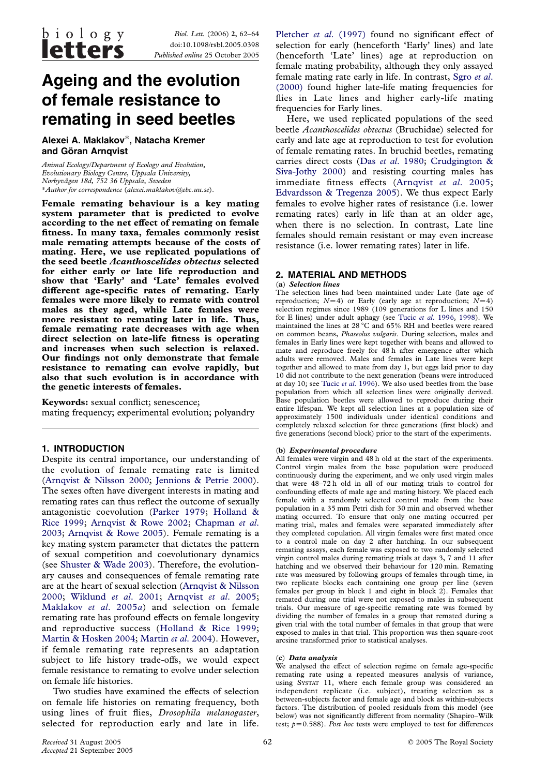Biol. Lett. (2006) 2, 62–64 doi:10.1098/rsbl.2005.0398 Published online 25 October 2005

# Ageing and the evolution of female resistance to remating in seed beetles

Alexei A. Maklakov\*, Natacha Kremer and Göran Arnqvist

Animal Ecology/Department of Ecology and Evolution, Evolutionary Biology Centre, Uppsala University, Norbyva¨gen 18d, 752 36 Uppsala, Sweden \*Author for correspondence (alexei.maklakov@ebc.uu.se).

Female remating behaviour is a key mating system parameter that is predicted to evolve according to the net effect of remating on female fitness. In many taxa, females commonly resist male remating attempts because of the costs of mating. Here, we use replicated populations of the seed beetle Acanthoscelides obtectus selected for either early or late life reproduction and show that 'Early' and 'Late' females evolved different age-specific rates of remating. Early females were more likely to remate with control males as they aged, while Late females were more resistant to remating later in life. Thus, female remating rate decreases with age when direct selection on late-life fitness is operating and increases when such selection is relaxed. Our findings not only demonstrate that female resistance to remating can evolve rapidly, but also that such evolution is in accordance with the genetic interests of females.

Keywords: sexual conflict; senescence; mating frequency; experimental evolution; polyandry

# 1. INTRODUCTION

Despite its central importance, our understanding of the evolution of female remating rate is limited [\(Arnqvist & Nilsson 2000](#page-2-0); [Jennions & Petrie 2000\)](#page-2-0). The sexes often have divergent interests in mating and remating rates can thus reflect the outcome of sexually antagonistic coevolution ([Parker 1979;](#page-2-0) [Holland &](#page-2-0) [Rice 1999](#page-2-0); [Arnqvist & Rowe 2002](#page-2-0); [Chapman](#page-2-0) et al. [2003](#page-2-0); [Arnqvist & Rowe 2005](#page-2-0)). Female remating is a key mating system parameter that dictates the pattern of sexual competition and coevolutionary dynamics (see [Shuster & Wade 2003\)](#page-2-0). Therefore, the evolutionary causes and consequences of female remating rate are at the heart of sexual selection ([Arnqvist & Nilsson](#page-2-0) [2000;](#page-2-0) [Wiklund](#page-2-0) et al. 2001; [Arnqvist](#page-2-0) et al. 2005; [Maklakov](#page-2-0) et al. 2005a) and selection on female remating rate has profound effects on female longevity and reproductive success ([Holland & Rice 1999;](#page-2-0) [Martin & Hosken 2004;](#page-2-0) [Martin](#page-2-0) et al. 2004). However, if female remating rate represents an adaptation subject to life history trade-offs, we would expect female resistance to remating to evolve under selection on female life histories.

Two studies have examined the effects of selection on female life histories on remating frequency, both using lines of fruit flies, Drosophila melanogaster, selected for reproduction early and late in life.

Pletcher et al[. \(1997\)](#page-2-0) found no significant effect of selection for early (henceforth 'Early' lines) and late (henceforth 'Late' lines) age at reproduction on female mating probability, although they only assayed female mating rate early in life. In contrast, [Sgro](#page-2-0) et al. [\(2000\)](#page-2-0) found higher late-life mating frequencies for flies in Late lines and higher early-life mating frequencies for Early lines.

Here, we used replicated populations of the seed beetle Acanthoscelides obtectus (Bruchidae) selected for early and late age at reproduction to test for evolution of female remating rates. In bruchid beetles, remating carries direct costs (Das et al[. 1980](#page-2-0); [Crudgington &](#page-2-0) [Siva-Jothy 2000](#page-2-0)) and resisting courting males has immediate fitness effects ([Arnqvist](#page-2-0) et al. 2005; [Edvardsson & Tregenza 2005\)](#page-2-0). We thus expect Early females to evolve higher rates of resistance (i.e. lower remating rates) early in life than at an older age, when there is no selection. In contrast, Late line females should remain resistant or may even increase resistance (i.e. lower remating rates) later in life.

# 2. MATERIAL AND METHODS

#### (a) Selection lines

The selection lines had been maintained under Late (late age of reproduction;  $N=4$ ) or Early (early age at reproduction;  $N=4$ ) selection regimes since 1989 (109 generations for L lines and 150 for E lines) under adult aphagy (see Tucic et al[. 1996,](#page-2-0) [1998](#page-2-0)). We maintained the lines at 28 °C and 65% RH and beetles were reared on common beans, Phaseolus vulgaris. During selection, males and females in Early lines were kept together with beans and allowed to mate and reproduce freely for 48 h after emergence after which adults were removed. Males and females in Late lines were kept together and allowed to mate from day 1, but eggs laid prior to day 10 did not contribute to the next generation (beans were introduced at day 10; see Tucic et al[. 1996\)](#page-2-0). We also used beetles from the base population from which all selection lines were originally derived. Base population beetles were allowed to reproduce during their entire lifespan. We kept all selection lines at a population size of approximately 1500 individuals under identical conditions and completely relaxed selection for three generations (first block) and five generations (second block) prior to the start of the experiments.

#### (b) Experimental procedure

All females were virgin and 48 h old at the start of the experiments. Control virgin males from the base population were produced continuously during the experiment, and we only used virgin males that were 48–72 h old in all of our mating trials to control for confounding effects of male age and mating history. We placed each female with a randomly selected control male from the base population in a 35 mm Petri dish for 30 min and observed whether mating occurred. To ensure that only one mating occurred per mating trial, males and females were separated immediately after they completed copulation. All virgin females were first mated once to a control male on day 2 after hatching. In our subsequent remating assays, each female was exposed to two randomly selected virgin control males during remating trials at days 3, 7 and 11 after hatching and we observed their behaviour for 120 min. Remating rate was measured by following groups of females through time, in two replicate blocks each containing one group per line (seven females per group in block 1 and eight in block 2). Females that remated during one trial were not exposed to males in subsequent trials. Our measure of age-specific remating rate was formed by dividing the number of females in a group that remated during a given trial with the total number of females in that group that were exposed to males in that trial. This proportion was then square-root arcsine transformed prior to statistical analyses.

#### (c) Data analysis

We analysed the effect of selection regime on female age-specific remating rate using a repeated measures analysis of variance, using SYSTAT 11, where each female group was considered an independent replicate (i.e. subject), treating selection as a between-subjects factor and female age and block as within-subjects factors. The distribution of pooled residuals from this model (see below) was not significantly different from normality (Shapiro–Wilk test;  $p=0.588$ ). Post hoc tests were employed to test for differences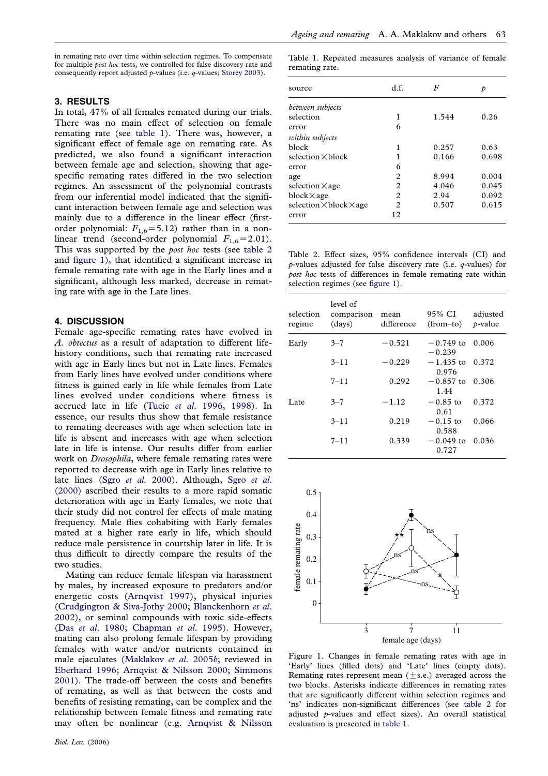in remating rate over time within selection regimes. To compensate for multiple post hoc tests, we controlled for false discovery rate and consequently report adjusted  $p$ -values (i.e.  $q$ -values; [Storey 2003\)](#page-2-0).

### 3. RESULTS

In total, 47% of all females remated during our trials. There was no main effect of selection on female remating rate (see table 1). There was, however, a significant effect of female age on remating rate. As predicted, we also found a significant interaction between female age and selection, showing that agespecific remating rates differed in the two selection regimes. An assessment of the polynomial contrasts from our inferential model indicated that the significant interaction between female age and selection was mainly due to a difference in the linear effect (firstorder polynomial:  $F_{1,6} = 5.12$ ) rather than in a nonlinear trend (second-order polynomial  $F_{1,6}$ =2.01). This was supported by the *post hoc* tests (see table 2 and figure 1), that identified a significant increase in female remating rate with age in the Early lines and a significant, although less marked, decrease in remating rate with age in the Late lines.

## 4. DISCUSSION

Female age-specific remating rates have evolved in A. obtectus as a result of adaptation to different lifehistory conditions, such that remating rate increased with age in Early lines but not in Late lines. Females from Early lines have evolved under conditions where fitness is gained early in life while females from Late lines evolved under conditions where fitness is accrued late in life (Tucic et al[. 1996,](#page-2-0) [1998\)](#page-2-0). In essence, our results thus show that female resistance to remating decreases with age when selection late in life is absent and increases with age when selection late in life is intense. Our results differ from earlier work on Drosophila, where female remating rates were reported to decrease with age in Early lines relative to late lines (Sgro et al[. 2000](#page-2-0)). Although, [Sgro](#page-2-0) et al. [\(2000\)](#page-2-0) ascribed their results to a more rapid somatic deterioration with age in Early females, we note that their study did not control for effects of male mating frequency. Male flies cohabiting with Early females mated at a higher rate early in life, which should reduce male persistence in courtship later in life. It is thus difficult to directly compare the results of the two studies.

Mating can reduce female lifespan via harassment by males, by increased exposure to predators and/or energetic costs ([Arnqvist 1997](#page-2-0)), physical injuries [\(Crudgington & Siva-Jothy 2000;](#page-2-0) [Blanckenhorn](#page-2-0) et al. [2002](#page-2-0)), or seminal compounds with toxic side-effects (Das et al[. 1980](#page-2-0); [Chapman](#page-2-0) et al. 1995). However, mating can also prolong female lifespan by providing females with water and/or nutrients contained in male ejaculates [\(Maklakov](#page-2-0) et al. 2005b; reviewed in [Eberhard 1996](#page-2-0); [Arnqvist & Nilsson 2000](#page-2-0); [Simmons](#page-2-0) [2001](#page-2-0)). The trade-off between the costs and benefits of remating, as well as that between the costs and benefits of resisting remating, can be complex and the relationship between female fitness and remating rate may often be nonlinear (e.g. [Arnqvist & Nilsson](#page-2-0)

Table 1. Repeated measures analysis of variance of female remating rate.

| source                                | d.f.           | F     | Þ     |
|---------------------------------------|----------------|-------|-------|
| between subjects                      |                |       |       |
| selection                             | 1              | 1.544 | 0.26  |
| error                                 | 6              |       |       |
| within subjects                       |                |       |       |
| block                                 | 1              | 0.257 | 0.63  |
| selection $\times$ block              | 1              | 0.166 | 0.698 |
| error                                 | 6              |       |       |
| age                                   | $\mathfrak{D}$ | 8.994 | 0.004 |
| selection $\times$ age                | 2              | 4.046 | 0.045 |
| $block\times$ age                     | 2              | 2.94  | 0.092 |
| selection $\times$ block $\times$ age | $\mathfrak{D}$ | 0.507 | 0.615 |
| error                                 | 12             |       |       |

Table 2. Effect sizes, 95% confidence intervals (CI) and  $p$ -values adjusted for false discovery rate (i.e.  $q$ -values) for post hoc tests of differences in female remating rate within selection regimes (see figure 1).

| selection<br>regime | level of<br>comparison<br>(days) | mean<br>difference | 95% CI<br>$(from-to)$   | adjusted<br>$p$ -value |
|---------------------|----------------------------------|--------------------|-------------------------|------------------------|
| Early               | $3 - 7$                          | $-0.521$           | $-0.749$ to<br>$-0.239$ | 0.006                  |
|                     | $3 - 11$                         | $-0.229$           | $-1.435$ to<br>0.976    | 0.372                  |
|                     | $7 - 11$                         | 0.292              | $-0.857$ to<br>1.44     | 0.306                  |
| Late.               | $3 - 7$                          | $-1.12$            | $-0.85$ to<br>0.61      | 0.372                  |
|                     | $3 - 11$                         | 0.219              | $-0.15$ to<br>0.588     | 0.066                  |
|                     | $7 - 11$                         | 0.339              | $-0.049$ to<br>0.727    | 0.036                  |



Figure 1. Changes in female remating rates with age in 'Early' lines (filled dots) and 'Late' lines (empty dots). Remating rates represent mean  $(+s.e.)$  averaged across the two blocks. Asterisks indicate differences in remating rates that are significantly different within selection regimes and 'ns' indicates non-significant differences (see table 2 for adjusted  $p$ -values and effect sizes). An overall statistical evaluation is presented in table 1.